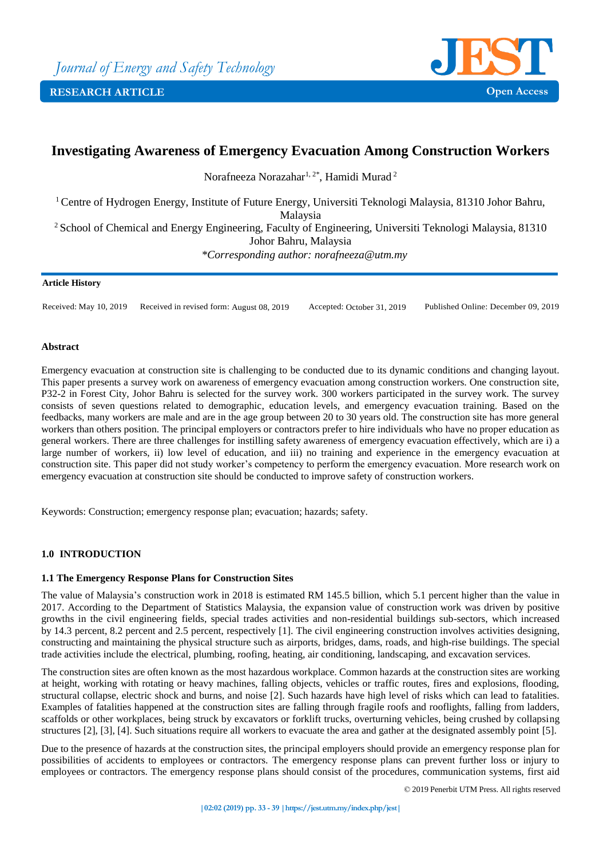

# **Investigating Awareness of Emergency Evacuation Among Construction Workers**

Norafneeza Norazahar<sup>1, 2\*</sup>, Hamidi Murad<sup>2</sup>

<sup>1</sup> Centre of Hydrogen Energy, Institute of Future Energy, Universiti Teknologi Malaysia, 81310 Johor Bahru,

Malaysia

<sup>2</sup> School of Chemical and Energy Engineering, Faculty of Engineering, Universiti Teknologi Malaysia, 81310 Johor Bahru, Malaysia

*\*Corresponding author: norafneeza@utm.my*

# **Article History**

Received: May 10, 2019 Received in revised form: August 08, 2019 Accepted: October 31, 2019 Published Online: December 09, 2019

# **Abstract**

Emergency evacuation at construction site is challenging to be conducted due to its dynamic conditions and changing layout. This paper presents a survey work on awareness of emergency evacuation among construction workers. One construction site, P32-2 in Forest City, Johor Bahru is selected for the survey work. 300 workers participated in the survey work. The survey consists of seven questions related to demographic, education levels, and emergency evacuation training. Based on the feedbacks, many workers are male and are in the age group between 20 to 30 years old. The construction site has more general workers than others position. The principal employers or contractors prefer to hire individuals who have no proper education as general workers. There are three challenges for instilling safety awareness of emergency evacuation effectively, which are i) a large number of workers, ii) low level of education, and iii) no training and experience in the emergency evacuation at construction site. This paper did not study worker's competency to perform the emergency evacuation. More research work on emergency evacuation at construction site should be conducted to improve safety of construction workers.

Keywords: Construction; emergency response plan; evacuation; hazards; safety.

# **1.0 INTRODUCTION**

# **1.1 The Emergency Response Plans for Construction Sites**

The value of Malaysia's construction work in 2018 is estimated RM 145.5 billion, which 5.1 percent higher than the value in 2017. According to the Department of Statistics Malaysia, the expansion value of construction work was driven by positive growths in the civil engineering fields, special trades activities and non-residential buildings sub-sectors, which increased by 14.3 percent, 8.2 percent and 2.5 percent, respectively [1]. The civil engineering construction involves activities designing, constructing and maintaining the physical structure such as airports, bridges, dams, roads, and high-rise buildings. The special trade activities include the electrical, plumbing, roofing, heating, air conditioning, landscaping, and excavation services.

The construction sites are often known as the most hazardous workplace. Common hazards at the construction sites are working at height, working with rotating or heavy machines, falling objects, vehicles or traffic routes, fires and explosions, flooding, structural collapse, electric shock and burns, and noise [2]. Such hazards have high level of risks which can lead to fatalities. Examples of fatalities happened at the construction sites are falling through fragile roofs and rooflights, falling from ladders, scaffolds or other workplaces, being struck by excavators or forklift trucks, overturning vehicles, being crushed by collapsing structures [2], [3], [4]. Such situations require all workers to evacuate the area and gather at the designated assembly point [5].

Due to the presence of hazards at the construction sites, the principal employers should provide an emergency response plan for possibilities of accidents to employees or contractors. The emergency response plans can prevent further loss or injury to employees or contractors. The emergency response plans should consist of the procedures, communication systems, first aid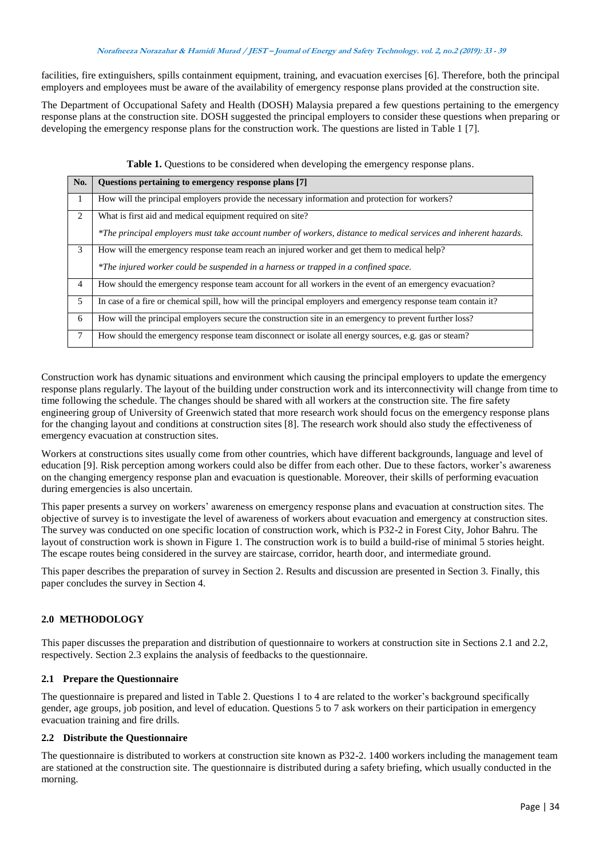### **Norafneeza Norazahar & Hamidi Murad / JEST – Journal of Energy and Safety Technology. vol. 2, no.2 (2019): <sup>33</sup> - <sup>39</sup>**

facilities, fire extinguishers, spills containment equipment, training, and evacuation exercises [6]. Therefore, both the principal employers and employees must be aware of the availability of emergency response plans provided at the construction site.

The Department of Occupational Safety and Health (DOSH) Malaysia prepared a few questions pertaining to the emergency response plans at the construction site. DOSH suggested the principal employers to consider these questions when preparing or developing the emergency response plans for the construction work. The questions are listed in Table 1 [7].

| No.             | Questions pertaining to emergency response plans [7]                                                             |
|-----------------|------------------------------------------------------------------------------------------------------------------|
| $\overline{1}$  | How will the principal employers provide the necessary information and protection for workers?                   |
| 2               | What is first aid and medical equipment required on site?                                                        |
|                 | *The principal employers must take account number of workers, distance to medical services and inherent hazards. |
| $\mathcal{E}$   | How will the emergency response team reach an injured worker and get them to medical help?                       |
|                 | *The injured worker could be suspended in a harness or trapped in a confined space.                              |
| $\overline{4}$  | How should the emergency response team account for all workers in the event of an emergency evacuation?          |
| 5               | In case of a fire or chemical spill, how will the principal employers and emergency response team contain it?    |
| - 6             | How will the principal employers secure the construction site in an emergency to prevent further loss?           |
| $7\phantom{.0}$ | How should the emergency response team disconnect or isolate all energy sources, e.g. gas or steam?              |
|                 |                                                                                                                  |

Table 1. Questions to be considered when developing the emergency response plans.

Construction work has dynamic situations and environment which causing the principal employers to update the emergency response plans regularly. The layout of the building under construction work and its interconnectivity will change from time to time following the schedule. The changes should be shared with all workers at the construction site. The fire safety engineering group of University of Greenwich stated that more research work should focus on the emergency response plans for the changing layout and conditions at construction sites [8]. The research work should also study the effectiveness of emergency evacuation at construction sites.

Workers at constructions sites usually come from other countries, which have different backgrounds, language and level of education [9]. Risk perception among workers could also be differ from each other. Due to these factors, worker's awareness on the changing emergency response plan and evacuation is questionable. Moreover, their skills of performing evacuation during emergencies is also uncertain.

This paper presents a survey on workers' awareness on emergency response plans and evacuation at construction sites. The objective of survey is to investigate the level of awareness of workers about evacuation and emergency at construction sites. The survey was conducted on one specific location of construction work, which is P32-2 in Forest City, Johor Bahru. The layout of construction work is shown in Figure 1. The construction work is to build a build-rise of minimal 5 stories height. The escape routes being considered in the survey are staircase, corridor, hearth door, and intermediate ground.

This paper describes the preparation of survey in Section 2. Results and discussion are presented in Section 3. Finally, this paper concludes the survey in Section 4.

# **2.0 METHODOLOGY**

This paper discusses the preparation and distribution of questionnaire to workers at construction site in Sections 2.1 and 2.2, respectively. Section 2.3 explains the analysis of feedbacks to the questionnaire.

# **2.1 Prepare the Questionnaire**

The questionnaire is prepared and listed in Table 2. Questions 1 to 4 are related to the worker's background specifically gender, age groups, job position, and level of education. Questions 5 to 7 ask workers on their participation in emergency evacuation training and fire drills.

# **2.2 Distribute the Questionnaire**

The questionnaire is distributed to workers at construction site known as P32-2. 1400 workers including the management team are stationed at the construction site. The questionnaire is distributed during a safety briefing, which usually conducted in the morning.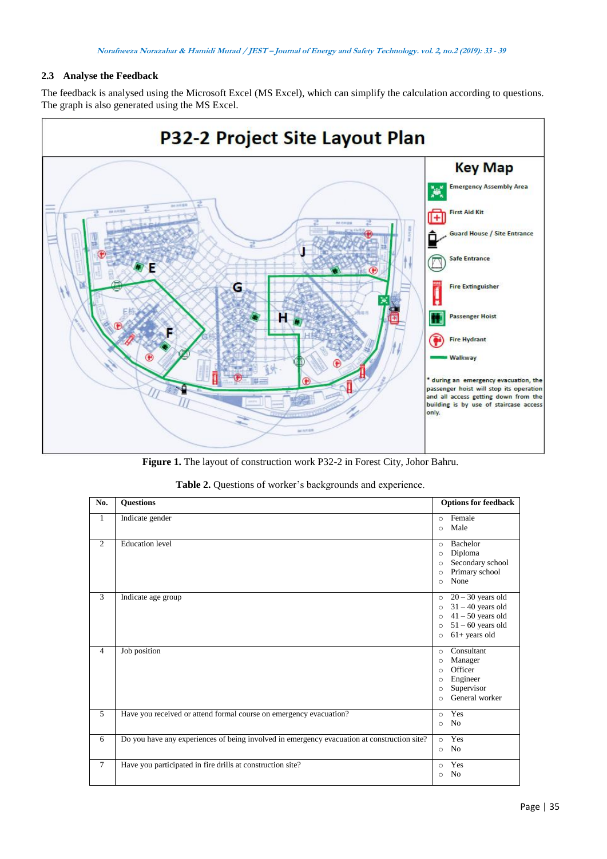# **2.3 Analyse the Feedback**

The feedback is analysed using the Microsoft Excel (MS Excel), which can simplify the calculation according to questions. The graph is also generated using the MS Excel.



**Figure 1.** The layout of construction work P32-2 in Forest City, Johor Bahru.

|  |  |  |  | Table 2. Questions of worker's backgrounds and experience. |
|--|--|--|--|------------------------------------------------------------|
|--|--|--|--|------------------------------------------------------------|

| No.            | <b>Questions</b>                                                                            | <b>Options for feedback</b>                                                                                                                                         |
|----------------|---------------------------------------------------------------------------------------------|---------------------------------------------------------------------------------------------------------------------------------------------------------------------|
| $\mathbf{1}$   | Indicate gender                                                                             | Female<br>$\circ$<br>Male<br>$\circ$                                                                                                                                |
| $\overline{2}$ | <b>Education</b> level                                                                      | Bachelor<br>$\Omega$<br>Diploma<br>$\circ$<br>Secondary school<br>$\circ$<br>Primary school<br>$\circ$<br>None<br>$\Omega$                                          |
| 3              | Indicate age group                                                                          | $20 - 30$ years old<br>$\circ$<br>$31 - 40$ years old<br>$\Omega$<br>$41 - 50$ years old<br>$\circ$<br>$51 - 60$ years old<br>$\circ$<br>$61+$ years old<br>$\circ$ |
| $\overline{4}$ | Job position                                                                                | Consultant<br>$\circ$<br>Manager<br>$\circ$<br>Officer<br>$\Omega$<br>Engineer<br>$\circ$<br>Supervisor<br>$\circ$<br>General worker<br>$\Omega$                    |
| 5              | Have you received or attend formal course on emergency evacuation?                          | Yes<br>$\circ$<br>N <sub>0</sub><br>$\Omega$                                                                                                                        |
| 6              | Do you have any experiences of being involved in emergency evacuation at construction site? | Yes<br>$\circ$<br>N <sub>0</sub><br>$\circ$                                                                                                                         |
| $\overline{7}$ | Have you participated in fire drills at construction site?                                  | Yes<br>$\circ$<br>N <sub>o</sub><br>$\circ$                                                                                                                         |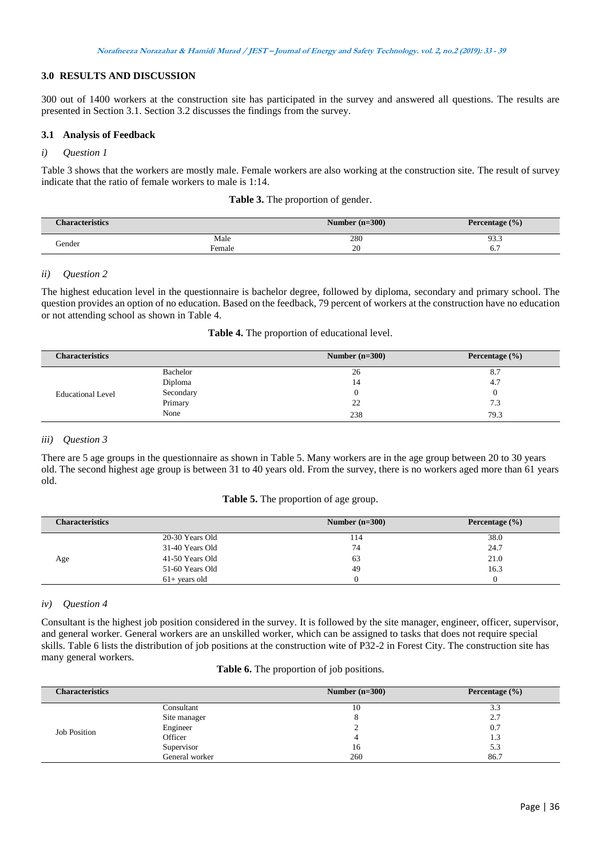# **3.0 RESULTS AND DISCUSSION**

300 out of 1400 workers at the construction site has participated in the survey and answered all questions. The results are presented in Section 3.1. Section 3.2 discusses the findings from the survey.

# **3.1 Analysis of Feedback**

# *i) Question 1*

Table 3 shows that the workers are mostly male. Female workers are also working at the construction site. The result of survey indicate that the ratio of female workers to male is 1:14.

|  |  | Table 3. The proportion of gender. |  |
|--|--|------------------------------------|--|
|--|--|------------------------------------|--|

| <b>Characteristics</b> |           | Number $(n=300)$ | Percentage $(\% )$ |
|------------------------|-----------|------------------|--------------------|
|                        | Male      | 280              | Q3 3<br>99.9       |
| Gender                 | $F$ emale | 20               | v.                 |

# *ii) Question 2*

The highest education level in the questionnaire is bachelor degree, followed by diploma, secondary and primary school. The question provides an option of no education. Based on the feedback, 79 percent of workers at the construction have no education or not attending school as shown in Table 4.

|  |  |  |  | Table 4. The proportion of educational level. |  |
|--|--|--|--|-----------------------------------------------|--|
|--|--|--|--|-----------------------------------------------|--|

| <b>Characteristics</b>   |           | Number $(n=300)$ | Percentage $(\% )$ |
|--------------------------|-----------|------------------|--------------------|
|                          | Bachelor  | 26               | 8.7                |
|                          | Diploma   | 14               | 4.7                |
| <b>Educational Level</b> | Secondary |                  | $\theta$           |
|                          | Primary   | 22               | 7.3                |
|                          | None      | 238              | 79.3               |

# *iii) Question 3*

There are 5 age groups in the questionnaire as shown in Table 5. Many workers are in the age group between 20 to 30 years old. The second highest age group is between 31 to 40 years old. From the survey, there is no workers aged more than 61 years old.

# **Table 5.** The proportion of age group.

| <b>Characteristics</b> |                 | Number $(n=300)$ | Percentage $(\% )$ |
|------------------------|-----------------|------------------|--------------------|
|                        | 20-30 Years Old | 114              | 38.0               |
|                        | 31-40 Years Old | 74               | 24.7               |
| Age                    | 41-50 Years Old | 63               | 21.0               |
|                        | 51-60 Years Old | 49               | 16.3               |
|                        | $61+$ years old |                  |                    |

### *iv) Question 4*

Consultant is the highest job position considered in the survey. It is followed by the site manager, engineer, officer, supervisor, and general worker. General workers are an unskilled worker, which can be assigned to tasks that does not require special skills. Table 6 lists the distribution of job positions at the construction wite of P32-2 in Forest City. The construction site has many general workers.

#### **Table 6.** The proportion of job positions.

| <b>Characteristics</b> |                | Number $(n=300)$ | Percentage $(\% )$ |
|------------------------|----------------|------------------|--------------------|
|                        | Consultant     | 10               | 3.3                |
|                        | Site manager   |                  | 2.7                |
| <b>Job Position</b>    | Engineer       |                  | 0.7                |
|                        | Officer        |                  | 1.3                |
|                        | Supervisor     | 16               | 5.3                |
|                        | General worker | 260              | 86.7               |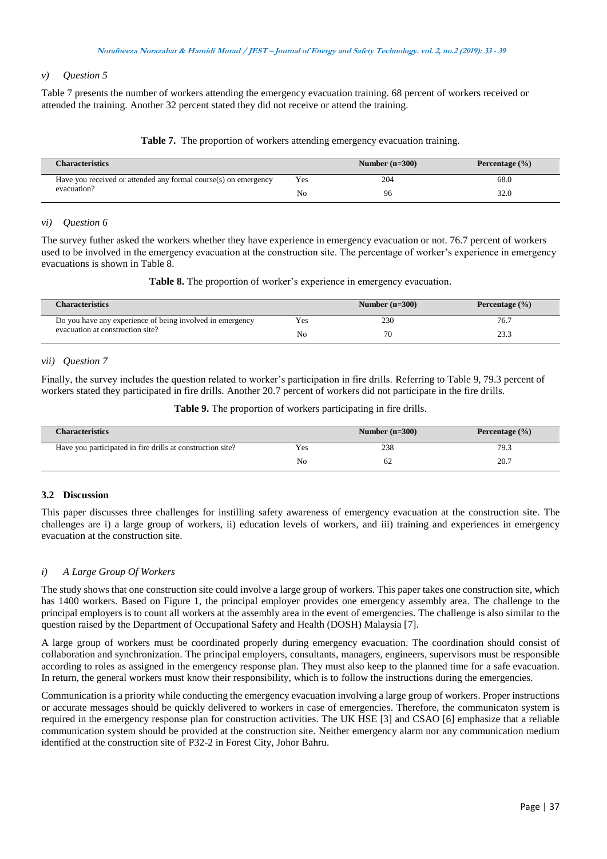### *v) Question 5*

Table 7 presents the number of workers attending the emergency evacuation training. 68 percent of workers received or attended the training. Another 32 percent stated they did not receive or attend the training.

### **Table 7.** The proportion of workers attending emergency evacuation training.

| <b>Characteristics</b>                                          |     | Number $(n=300)$ | Percentage $(\% )$ |
|-----------------------------------------------------------------|-----|------------------|--------------------|
| Have you received or attended any formal course(s) on emergency | Yes | 204              | 68.0               |
| evacuation?                                                     | No  | 96               | 32.0               |

### *vi) Question 6*

The survey futher asked the workers whether they have experience in emergency evacuation or not. 76.7 percent of workers used to be involved in the emergency evacuation at the construction site. The percentage of worker's experience in emergency evacuations is shown in Table 8.

**Table 8.** The proportion of worker's experience in emergency evacuation.

| <b>Characteristics</b>                                    |     | Number $(n=300)$ | Percentage $(\% )$ |
|-----------------------------------------------------------|-----|------------------|--------------------|
| Do you have any experience of being involved in emergency | Yes | 230              | 76.7               |
| evacuation at construction site?                          | No  |                  | ل. ل ک             |

### *vii) Question 7*

Finally, the survey includes the question related to worker's participation in fire drills. Referring to Table 9, 79.3 percent of workers stated they participated in fire drills. Another 20.7 percent of workers did not participate in the fire drills.

**Table 9.** The proportion of workers participating in fire drills.

| <b>Characteristics</b>                                     |     | Number $(n=300)$ | Percentage $(\% )$ |
|------------------------------------------------------------|-----|------------------|--------------------|
| Have you participated in fire drills at construction site? | Yes | 238              | 79.3               |
|                                                            | No  |                  | 20.7               |

# **3.2 Discussion**

This paper discusses three challenges for instilling safety awareness of emergency evacuation at the construction site. The challenges are i) a large group of workers, ii) education levels of workers, and iii) training and experiences in emergency evacuation at the construction site.

# *i) A Large Group Of Workers*

The study shows that one construction site could involve a large group of workers. This paper takes one construction site, which has 1400 workers. Based on Figure 1, the principal employer provides one emergency assembly area. The challenge to the principal employers is to count all workers at the assembly area in the event of emergencies. The challenge is also similar to the question raised by the Department of Occupational Safety and Health (DOSH) Malaysia [7].

A large group of workers must be coordinated properly during emergency evacuation. The coordination should consist of collaboration and synchronization. The principal employers, consultants, managers, engineers, supervisors must be responsible according to roles as assigned in the emergency response plan. They must also keep to the planned time for a safe evacuation. In return, the general workers must know their responsibility, which is to follow the instructions during the emergencies.

Communication is a priority while conducting the emergency evacuation involving a large group of workers. Proper instructions or accurate messages should be quickly delivered to workers in case of emergencies. Therefore, the communicaton system is required in the emergency response plan for construction activities. The UK HSE [3] and CSAO [6] emphasize that a reliable communication system should be provided at the construction site. Neither emergency alarm nor any communication medium identified at the construction site of P32-2 in Forest City, Johor Bahru.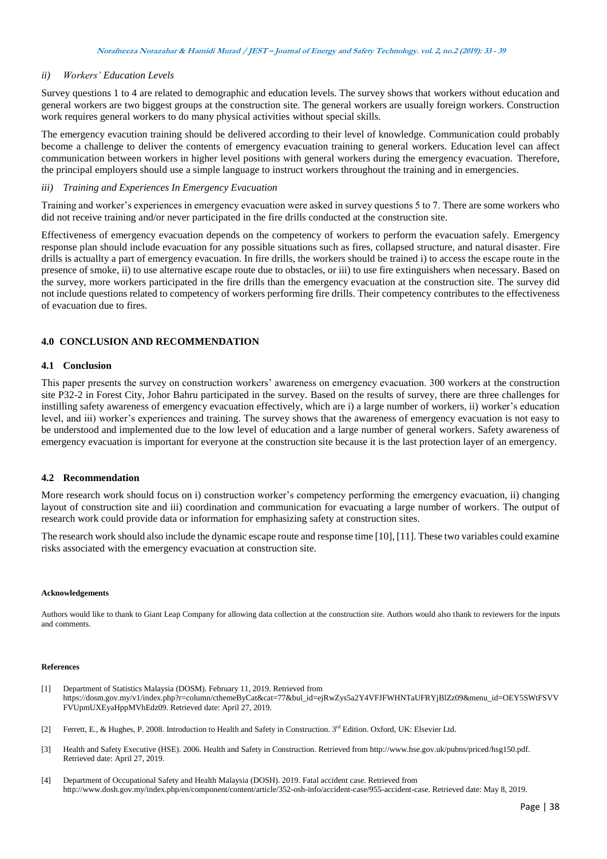# *ii) Workers' Education Levels*

Survey questions 1 to 4 are related to demographic and education levels. The survey shows that workers without education and general workers are two biggest groups at the construction site. The general workers are usually foreign workers. Construction work requires general workers to do many physical activities without special skills.

The emergency evacution training should be delivered according to their level of knowledge. Communication could probably become a challenge to deliver the contents of emergency evacuation training to general workers. Education level can affect communication between workers in higher level positions with general workers during the emergency evacuation. Therefore, the principal employers should use a simple language to instruct workers throughout the training and in emergencies.

#### *iii) Training and Experiences In Emergency Evacuation*

Training and worker's experiences in emergency evacuation were asked in survey questions 5 to 7. There are some workers who did not receive training and/or never participated in the fire drills conducted at the construction site.

Effectiveness of emergency evacuation depends on the competency of workers to perform the evacuation safely. Emergency response plan should include evacuation for any possible situations such as fires, collapsed structure, and natural disaster. Fire drills is actuallty a part of emergency evacuation. In fire drills, the workers should be trained i) to access the escape route in the presence of smoke, ii) to use alternative escape route due to obstacles, or iii) to use fire extinguishers when necessary. Based on the survey, more workers participated in the fire drills than the emergency evacuation at the construction site. The survey did not include questions related to competency of workers performing fire drills. Their competency contributes to the effectiveness of evacuation due to fires.

# **4.0 CONCLUSION AND RECOMMENDATION**

### **4.1 Conclusion**

This paper presents the survey on construction workers' awareness on emergency evacuation. 300 workers at the construction site P32-2 in Forest City, Johor Bahru participated in the survey. Based on the results of survey, there are three challenges for instilling safety awareness of emergency evacuation effectively, which are i) a large number of workers, ii) worker's education level, and iii) worker's experiences and training. The survey shows that the awareness of emergency evacuation is not easy to be understood and implemented due to the low level of education and a large number of general workers. Safety awareness of emergency evacuation is important for everyone at the construction site because it is the last protection layer of an emergency.

#### **4.2 Recommendation**

More research work should focus on i) construction worker's competency performing the emergency evacuation, ii) changing layout of construction site and iii) coordination and communication for evacuating a large number of workers. The output of research work could provide data or information for emphasizing safety at construction sites.

The research work should also include the dynamic escape route and response time [10], [11]. These two variables could examine risks associated with the emergency evacuation at construction site.

#### **Acknowledgements**

Authors would like to thank to Giant Leap Company for allowing data collection at the construction site. Authors would also thank to reviewers for the inputs and comments.

#### **References**

- [1] Department of Statistics Malaysia (DOSM). February 11, 2019. Retrieved from https://dosm.gov.my/v1/index.php?r=column/cthemeByCat&cat=77&bul\_id=ejRwZys5a2Y4VFJFWHNTaUFRYjBlZz09&menu\_id=OEY5SWtFSVV FVUpmUXEyaHppMVhEdz09. Retrieved date: April 27, 2019.
- [2] Ferrett, E., & Hughes, P. 2008. Introduction to Health and Safety in Construction. 3rd Edition. Oxford, UK: Elsevier Ltd.
- [3] Health and Safety Executive (HSE). 2006. Health and Safety in Construction. Retrieved from http://www.hse.gov.uk/pubns/priced/hsg150.pdf. Retrieved date: April 27, 2019.
- [4] Department of Occupational Safety and Health Malaysia (DOSH). 2019. Fatal accident case. Retrieved from http://www.dosh.gov.my/index.php/en/component/content/article/352-osh-info/accident-case/955-accident-case. Retrieved date: May 8, 2019.